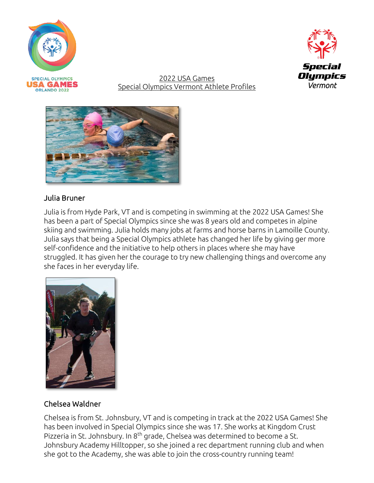



2022 USA Games Special Olympics Vermont Athlete Profiles



# Julia Bruner

Julia is from Hyde Park, VT and is competing in swimming at the 2022 USA Games! She has been a part of Special Olympics since she was 8 years old and competes in alpine skiing and swimming. Julia holds many jobs at farms and horse barns in Lamoille County. Julia says that being a Special Olympics athlete has changed her life by giving ger more self-confidence and the initiative to help others in places where she may have struggled. It has given her the courage to try new challenging things and overcome any she faces in her everyday life.



## Chelsea Waldner

Chelsea is from St. Johnsbury, VT and is competing in track at the 2022 USA Games! She has been involved in Special Olympics since she was 17. She works at Kingdom Crust Pizzeria in St. Johnsbury. In 8<sup>th</sup> grade, Chelsea was determined to become a St. Johnsbury Academy Hilltopper, so she joined a rec department running club and when she got to the Academy, she was able to join the cross-country running team!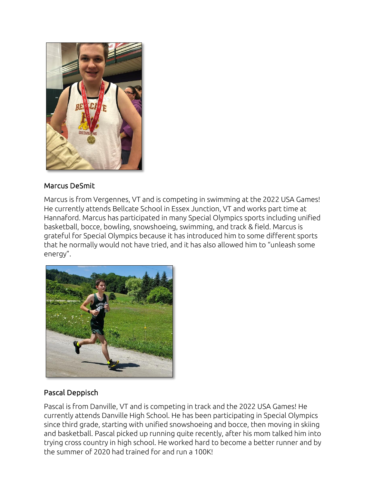

## Marcus DeSmit

Marcus is from Vergennes, VT and is competing in swimming at the 2022 USA Games! He currently attends Bellcate School in Essex Junction, VT and works part time at Hannaford. Marcus has participated in many Special Olympics sports including unified basketball, bocce, bowling, snowshoeing, swimming, and track & field. Marcus is grateful for Special Olympics because it has introduced him to some different sports that he normally would not have tried, and it has also allowed him to "unleash some energy".



# Pascal Deppisch

Pascal is from Danville, VT and is competing in track and the 2022 USA Games! He currently attends Danville High School. He has been participating in Special Olympics since third grade, starting with unified snowshoeing and bocce, then moving in skiing and basketball. Pascal picked up running quite recently, after his mom talked him into trying cross country in high school. He worked hard to become a better runner and by the summer of 2020 had trained for and run a 100K!